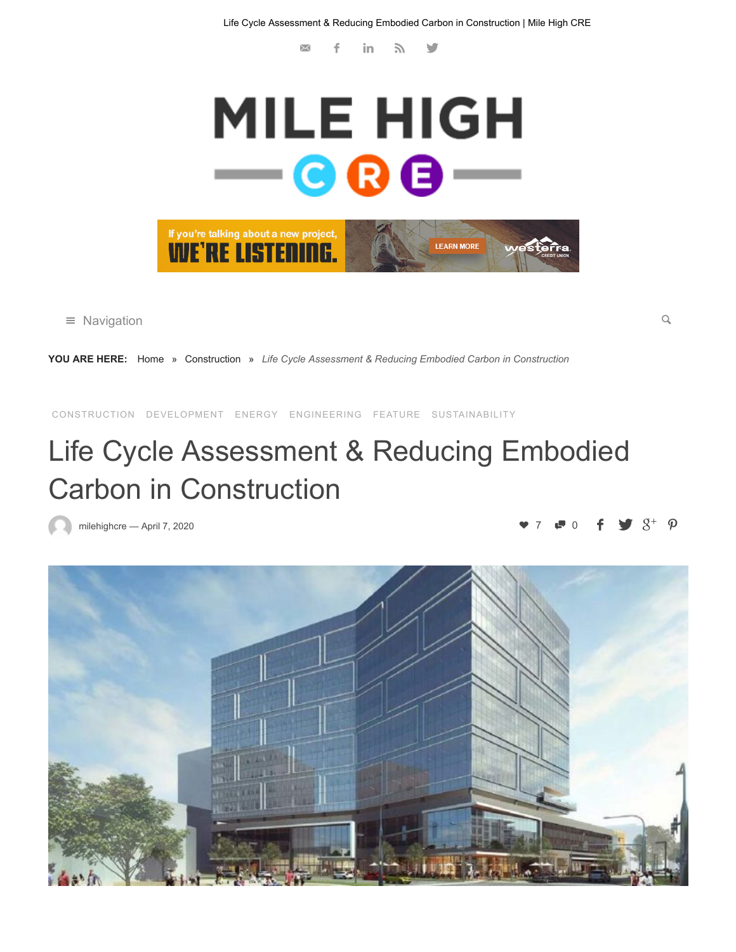$\times$ f in  $\mathbb N$   $\mathbb S$ 



 $\equiv$  Navigation  $\sim$ 

**YOU ARE HERE:** [Home](https://milehighcre.com/) » [Construction](https://milehighcre.com/category/construction/) » *Life Cycle Assessment & Reducing Embodied Carbon in Construction*

[CONSTRUCTION](https://milehighcre.com/category/construction/) [DEVELOPMENT](https://milehighcre.com/category/development/) [ENERGY](https://milehighcre.com/category/energy/) [ENGINEERING](https://milehighcre.com/category/engineering/) [FEATURE](https://milehighcre.com/category/feature/) [SUSTAINABILITY](https://milehighcre.com/category/sustainability/)

## Life Cycle Assessment & Reducing Embodied Carbon in Construction

[milehighcre](https://milehighcre.com/author/milehighcre/) — [April 7, 2020](https://milehighcre.com/life-cycle-assessment-reducing-embodied-carbon-in-construction/) 7 0

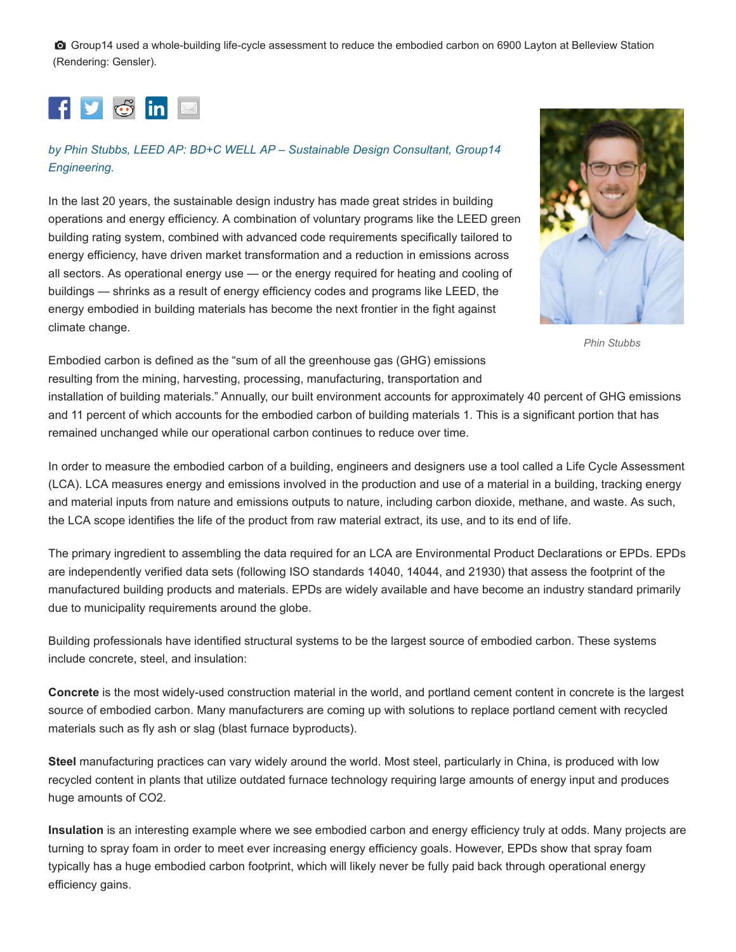Group14 used a whole-building life-cycle assessment to reduce the embodied carbon on 6900 Layton at Belleview Station (Rendering: Gensler).



## *[by Phin Stubbs, LEED AP: BD+C WELL AP – Sustainable Design Consultant, Group14](https://www.group14eng.com/) Engineering.*

In the last 20 years, the sustainable design industry has made great strides in building operations and energy efficiency. A combination of voluntary programs like the LEED green building rating system, combined with advanced code requirements specifically tailored to energy efficiency, have driven market transformation and a reduction in emissions across all sectors. As operational energy use — or the energy required for heating and cooling of buildings — shrinks as a result of energy efficiency codes and programs like LEED, the energy embodied in building materials has become the next frontier in the fight against climate change.



*Phin Stubbs*

Embodied carbon is defined as the "sum of all the greenhouse gas (GHG) emissions resulting from the mining, harvesting, processing, manufacturing, transportation and

installation of building materials." Annually, our built environment accounts for approximately 40 percent of GHG emissions and 11 percent of which accounts for the embodied carbon of building materials 1. This is a significant portion that has remained unchanged while our operational carbon continues to reduce over time.

In order to measure the embodied carbon of a building, engineers and designers use a tool called a Life Cycle Assessment (LCA). LCA measures energy and emissions involved in the production and use of a material in a building, tracking energy and material inputs from nature and emissions outputs to nature, including carbon dioxide, methane, and waste. As such, the LCA scope identifies the life of the product from raw material extract, its use, and to its end of life.

The primary ingredient to assembling the data required for an LCA are Environmental Product Declarations or EPDs. EPDs are independently verified data sets (following ISO standards 14040, 14044, and 21930) that assess the footprint of the manufactured building products and materials. EPDs are widely available and have become an industry standard primarily due to municipality requirements around the globe.

Building professionals have identified structural systems to be the largest source of embodied carbon. These systems include concrete, steel, and insulation:

**Concrete** is the most widely-used construction material in the world, and portland cement content in concrete is the largest source of embodied carbon. Many manufacturers are coming up with solutions to replace portland cement with recycled materials such as fly ash or slag (blast furnace byproducts).

**Steel** manufacturing practices can vary widely around the world. Most steel, particularly in China, is produced with low recycled content in plants that utilize outdated furnace technology requiring large amounts of energy input and produces huge amounts of CO2.

**Insulation** is an interesting example where we see embodied carbon and energy efficiency truly at odds. Many projects are turning to spray foam in order to meet ever increasing energy efficiency goals. However, EPDs show that spray foam typically has a huge embodied carbon footprint, which will likely never be fully paid back through operational energy efficiency gains.